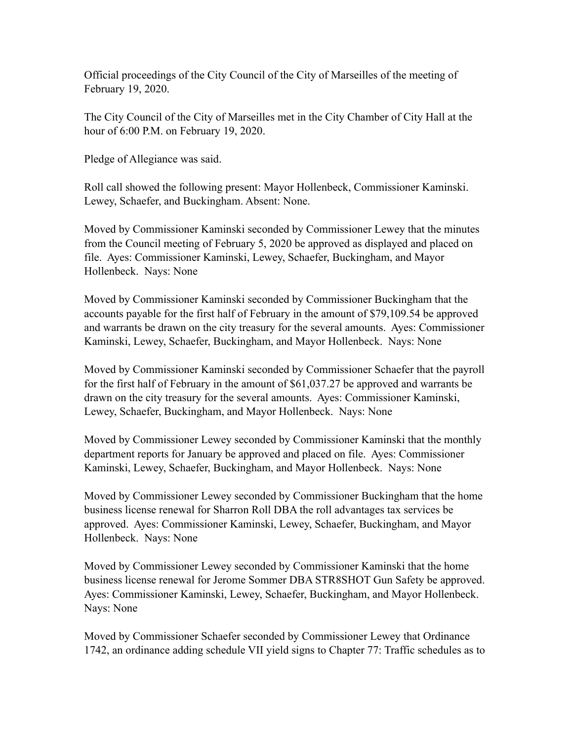Official proceedings of the City Council of the City of Marseilles of the meeting of February 19, 2020.

The City Council of the City of Marseilles met in the City Chamber of City Hall at the hour of 6:00 P.M. on February 19, 2020.

Pledge of Allegiance was said.

Roll call showed the following present: Mayor Hollenbeck, Commissioner Kaminski. Lewey, Schaefer, and Buckingham. Absent: None.

Moved by Commissioner Kaminski seconded by Commissioner Lewey that the minutes from the Council meeting of February 5, 2020 be approved as displayed and placed on file. Ayes: Commissioner Kaminski, Lewey, Schaefer, Buckingham, and Mayor Hollenbeck. Nays: None

Moved by Commissioner Kaminski seconded by Commissioner Buckingham that the accounts payable for the first half of February in the amount of \$79,109.54 be approved and warrants be drawn on the city treasury for the several amounts. Ayes: Commissioner Kaminski, Lewey, Schaefer, Buckingham, and Mayor Hollenbeck. Nays: None

Moved by Commissioner Kaminski seconded by Commissioner Schaefer that the payroll for the first half of February in the amount of \$61,037.27 be approved and warrants be drawn on the city treasury for the several amounts. Ayes: Commissioner Kaminski, Lewey, Schaefer, Buckingham, and Mayor Hollenbeck. Nays: None

Moved by Commissioner Lewey seconded by Commissioner Kaminski that the monthly department reports for January be approved and placed on file. Ayes: Commissioner Kaminski, Lewey, Schaefer, Buckingham, and Mayor Hollenbeck. Nays: None

Moved by Commissioner Lewey seconded by Commissioner Buckingham that the home business license renewal for Sharron Roll DBA the roll advantages tax services be approved. Ayes: Commissioner Kaminski, Lewey, Schaefer, Buckingham, and Mayor Hollenbeck. Nays: None

Moved by Commissioner Lewey seconded by Commissioner Kaminski that the home business license renewal for Jerome Sommer DBA STR8SHOT Gun Safety be approved. Ayes: Commissioner Kaminski, Lewey, Schaefer, Buckingham, and Mayor Hollenbeck. Nays: None

Moved by Commissioner Schaefer seconded by Commissioner Lewey that Ordinance 1742, an ordinance adding schedule VII yield signs to Chapter 77: Traffic schedules as to